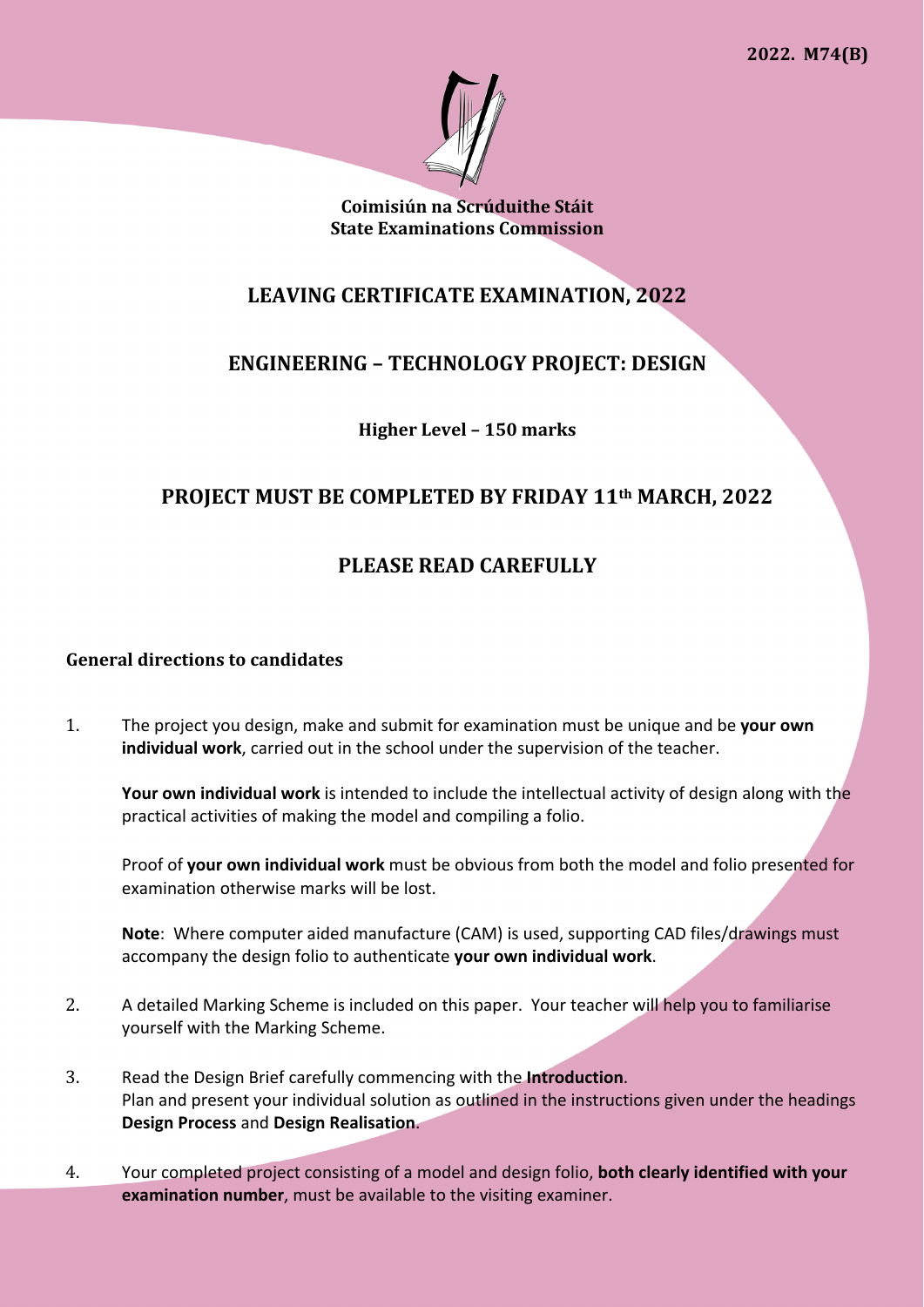

**Coimisiún na Scrúduithe Stáit State Examinations Commission** 

# **LEAVING CERTIFICATE EXAMINATION, 2022**

# **ENGINEERING – TECHNOLOGY PROJECT: DESIGN**

**Higher Level – 150 marks** 

## **PROJECT MUST BE COMPLETED BY FRIDAY 11th MARCH, 2022**

# **PLEASE READ CAREFULLY**

### **General directions to candidates**

1. The project you design, make and submit for examination must be unique and be **your own individual work**, carried out in the school under the supervision of the teacher.

**Your own individual work** is intended to include the intellectual activity of design along with the practical activities of making the model and compiling a folio.

Proof of **your own individual work** must be obvious from both the model and folio presented for examination otherwise marks will be lost.

**Note**: Where computer aided manufacture (CAM) is used, supporting CAD files/drawings must accompany the design folio to authenticate **your own individual work**.

- 2. A detailed Marking Scheme is included on this paper. Your teacher will help you to familiarise yourself with the Marking Scheme.
- 3. Read the Design Brief carefully commencing with the **Introduction**. Plan and present your individual solution as outlined in the instructions given under the headings **Design Process** and **Design Realisation**.
- 4. Your completed project consisting of a model and design folio, **both clearly identified with your examination number**, must be available to the visiting examiner.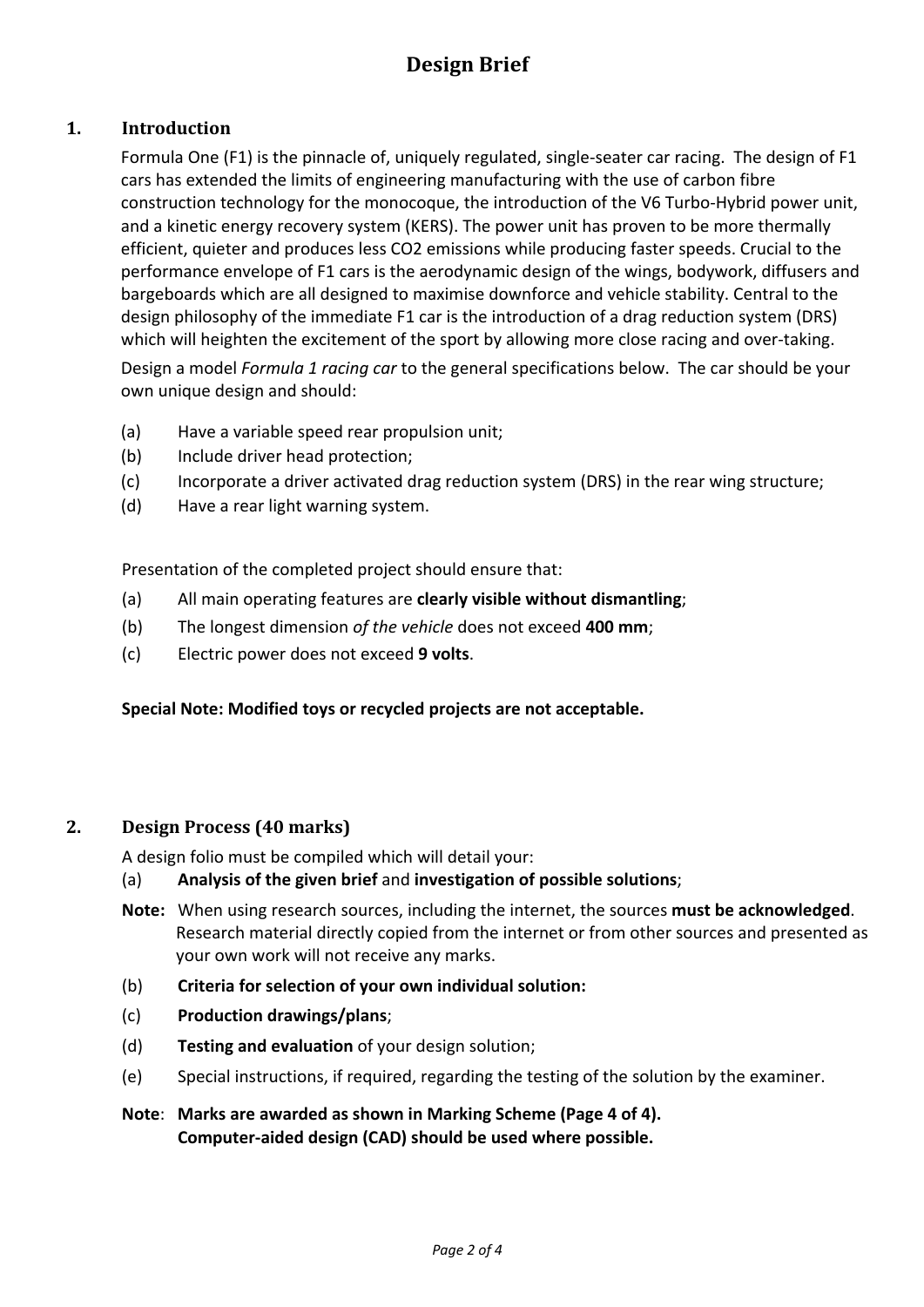# **Design Brief**

## **1. Introduction**

Formula One (F1) is the pinnacle of, uniquely regulated, single-seater car racing. The design of F1 cars has extended the limits of engineering manufacturing with the use of carbon fibre construction technology for the monocoque, the introduction of the V6 Turbo-Hybrid power unit, and a kinetic energy recovery system (KERS). The power unit has proven to be more thermally efficient, quieter and produces less CO2 emissions while producing faster speeds. Crucial to the performance envelope of F1 cars is the aerodynamic design of the wings, bodywork, diffusers and bargeboards which are all designed to maximise downforce and vehicle stability. Central to the design philosophy of the immediate F1 car is the introduction of a drag reduction system (DRS) which will heighten the excitement of the sport by allowing more close racing and over-taking.

Design a model *Formula 1 racing car* to the general specifications below. The car should be your own unique design and should:

- (a) Have a variable speed rear propulsion unit;
- (b) Include driver head protection;
- (c) Incorporate a driver activated drag reduction system (DRS) in the rear wing structure;
- (d) Have a rear light warning system.

Presentation of the completed project should ensure that:

- (a) All main operating features are **clearly visible without dismantling**;
- (b) The longest dimension *of the vehicle* does not exceed **400 mm**;
- (c) Electric power does not exceed **9 volts**.

#### **Special Note: Modified toys or recycled projects are not acceptable.**

### **2. Design Process (40 marks)**

A design folio must be compiled which will detail your:

### (a) **Analysis of the given brief** and **investigation of possible solutions**;

- **Note:** When using research sources, including the internet, the sources **must be acknowledged**. Research material directly copied from the internet or from other sources and presented as your own work will not receive any marks.
- (b) **Criteria for selection of your own individual solution:**
- (c) **Production drawings/plans**;
- (d) **Testing and evaluation** of your design solution;
- (e) Special instructions, if required, regarding the testing of the solution by the examiner.
- **Note**: **Marks are awarded as shown in Marking Scheme (Page 4 of 4). Computer-aided design (CAD) should be used where possible.**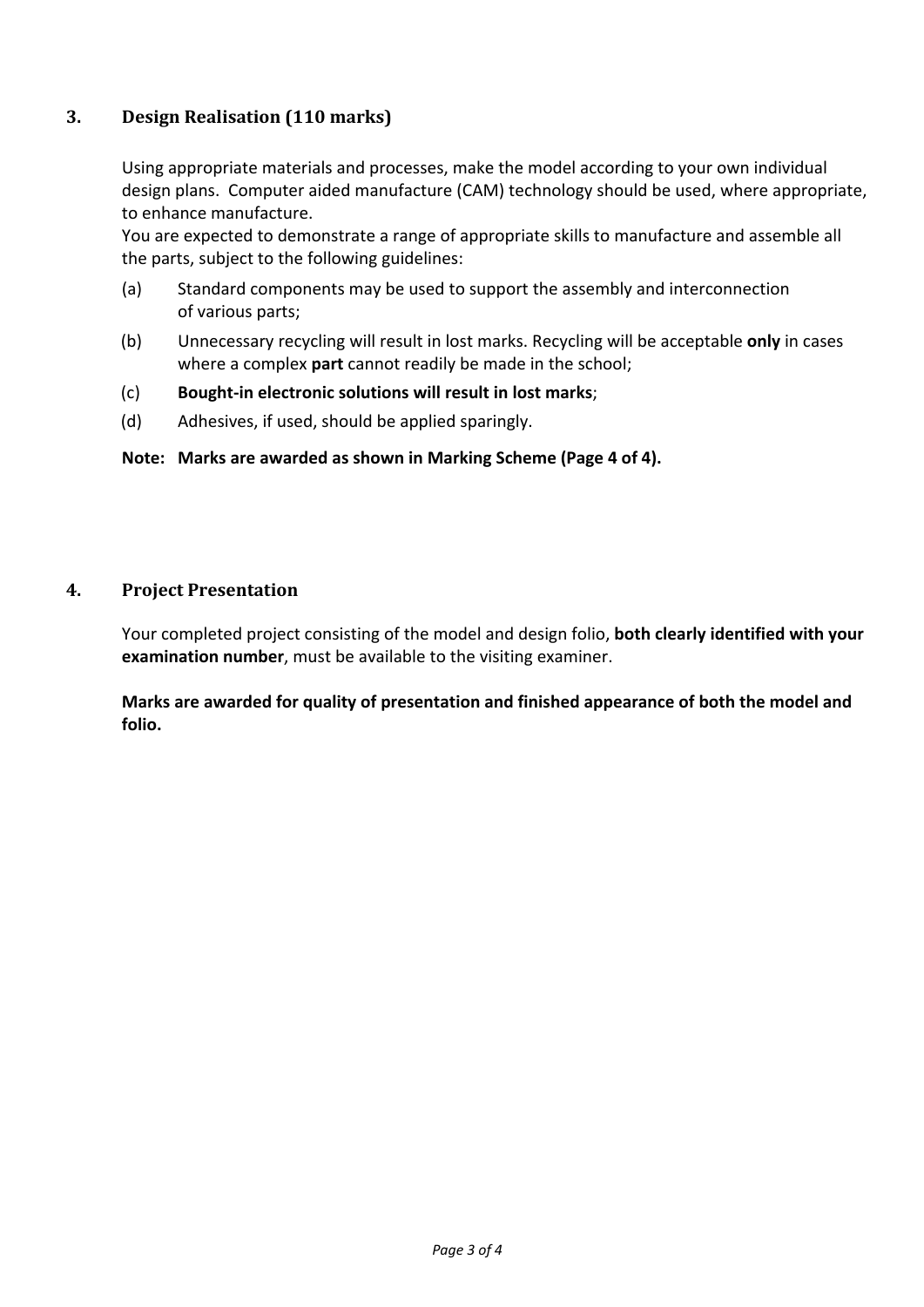## **3. Design Realisation (110 marks)**

Using appropriate materials and processes, make the model according to your own individual design plans. Computer aided manufacture (CAM) technology should be used, where appropriate, to enhance manufacture.

You are expected to demonstrate a range of appropriate skills to manufacture and assemble all the parts, subject to the following guidelines:

- (a) Standard components may be used to support the assembly and interconnection of various parts;
- (b) Unnecessary recycling will result in lost marks. Recycling will be acceptable **only** in cases where a complex **part** cannot readily be made in the school;
- (c) **Bought-in electronic solutions will result in lost marks**;
- (d) Adhesives, if used, should be applied sparingly.

### **Note: Marks are awarded as shown in Marking Scheme (Page 4 of 4).**

### **4. Project Presentation**

Your completed project consisting of the model and design folio, **both clearly identified with your examination number**, must be available to the visiting examiner.

**Marks are awarded for quality of presentation and finished appearance of both the model and folio.**